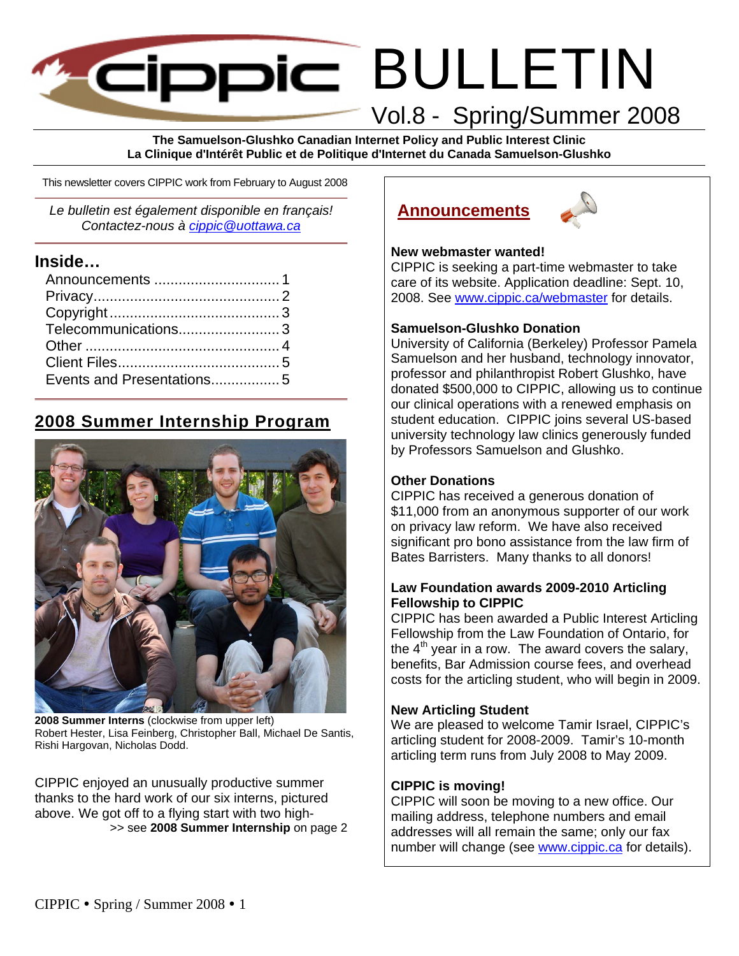# BULLETIN **ECIDDIC** Vol.8 - Spring/Summer 2008

**The Samuelson-Glushko Canadian Internet Policy and Public Interest Clinic La Clinique d'Intérêt Public et de Politique d'Internet du Canada Samuelson-Glushko** 

This newsletter covers CIPPIC work from February to August 2008

*Le bulletin est également disponible en français! Contactez-nous à cippic@uottawa.ca*

### **Inside…**

| Telecommunications3 |
|---------------------|
|                     |
|                     |
|                     |
|                     |

# **2008 Summer Internship Program**



**2008 Summer Interns** (clockwise from upper left) Robert Hester, Lisa Feinberg, Christopher Ball, Michael De Santis, Rishi Hargovan, Nicholas Dodd.

CIPPIC enjoyed an unusually productive summer thanks to the hard work of our six interns, pictured above. We got off to a flying start with two high- >> see **2008 Summer Internship** on page 2

# **Announcements**



### **New webmaster wanted!**

CIPPIC is seeking a part-time webmaster to take care of its website. Application deadline: Sept. 10, 2008. See www.cippic.ca/webmaster for details.

### **Samuelson-Glushko Donation**

University of California (Berkeley) Professor Pamela Samuelson and her husband, technology innovator, professor and philanthropist Robert Glushko, have donated \$500,000 to CIPPIC, allowing us to continue our clinical operations with a renewed emphasis on student education. CIPPIC joins several US-based university technology law clinics generously funded by Professors Samuelson and Glushko.

### **Other Donations**

CIPPIC has received a generous donation of \$11,000 from an anonymous supporter of our work on privacy law reform. We have also received significant pro bono assistance from the law firm of Bates Barristers. Many thanks to all donors!

### **Law Foundation awards 2009-2010 Articling Fellowship to CIPPIC**

CIPPIC has been awarded a Public Interest Articling Fellowship from the Law Foundation of Ontario, for the  $4<sup>th</sup>$  year in a row. The award covers the salary, benefits, Bar Admission course fees, and overhead costs for the articling student, who will begin in 2009.

### **New Articling Student**

We are pleased to welcome Tamir Israel, CIPPIC's articling student for 2008-2009. Tamir's 10-month articling term runs from July 2008 to May 2009.

### **CIPPIC is moving!**

CIPPIC will soon be moving to a new office. Our mailing address, telephone numbers and email addresses will all remain the same; only our fax number will change (see www.cippic.ca for details).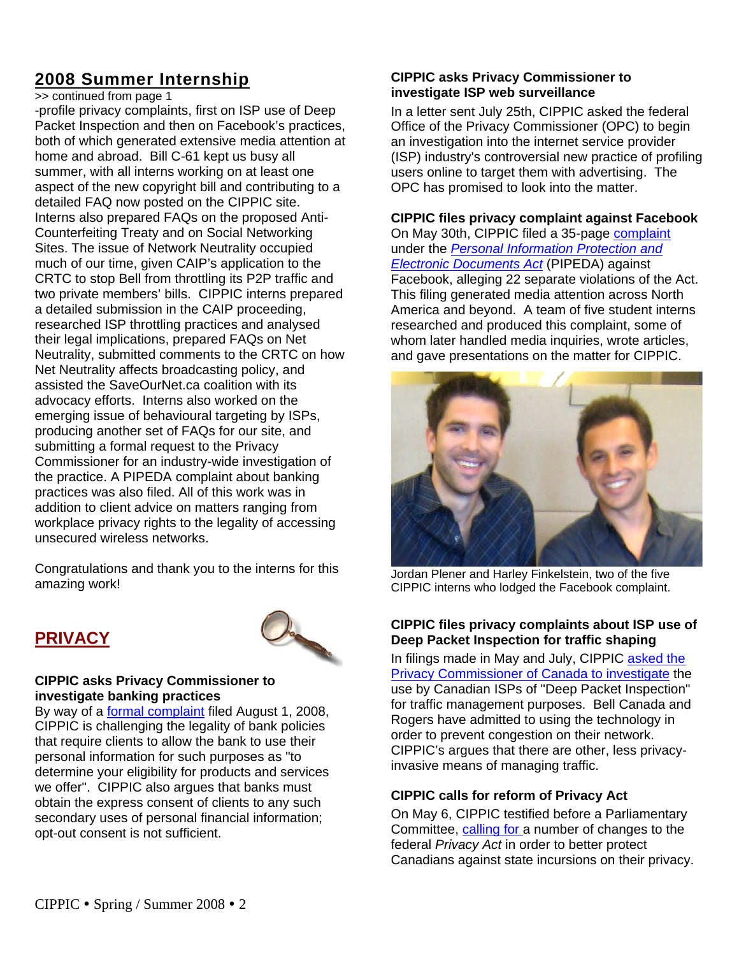# **2008 Summer Internship**

>> continued from page 1

-profile privacy complaints, first on ISP use of Deep Packet Inspection and then on Facebook's practices, both of which generated extensive media attention at home and abroad. Bill C-61 kept us busy all summer, with all interns working on at least one aspect of the new copyright bill and contributing to a detailed FAQ now posted on the CIPPIC site. Interns also prepared FAQs on the proposed Anti-Counterfeiting Treaty and on Social Networking Sites. The issue of Network Neutrality occupied much of our time, given CAIP's application to the CRTC to stop Bell from throttling its P2P traffic and two private members' bills. CIPPIC interns prepared a detailed submission in the CAIP proceeding, researched ISP throttling practices and analysed their legal implications, prepared FAQs on Net Neutrality, submitted comments to the CRTC on how Net Neutrality affects broadcasting policy, and assisted the SaveOurNet.ca coalition with its advocacy efforts. Interns also worked on the emerging issue of behavioural targeting by ISPs, producing another set of FAQs for our site, and submitting a formal request to the Privacy Commissioner for an industry-wide investigation of the practice. A PIPEDA complaint about banking practices was also filed. All of this work was in addition to client advice on matters ranging from workplace privacy rights to the legality of accessing unsecured wireless networks.

Congratulations and thank you to the interns for this amazing work!

### **PRIVACY**



#### **CIPPIC asks Privacy Commissioner to investigate banking practices**

By way of a formal complaint filed August 1, 2008, CIPPIC is challenging the legality of bank policies that require clients to allow the bank to use their personal information for such purposes as "to determine your eligibility for products and services we offer". CIPPIC also argues that banks must obtain the express consent of clients to any such secondary uses of personal financial information; opt-out consent is not sufficient.

### **CIPPIC asks Privacy Commissioner to investigate ISP web surveillance**

In a letter sent July 25th, CIPPIC asked the federal Office of the Privacy Commissioner (OPC) to begin an investigation into the internet service provider (ISP) industry's controversial new practice of profiling users online to target them with advertising. The OPC has promised to look into the matter.

### **CIPPIC files privacy complaint against Facebook**

On May 30th, CIPPIC filed a 35-page complaint under the *Personal Information Protection and Electronic Documents Act* (PIPEDA) against Facebook, alleging 22 separate violations of the Act. This filing generated media attention across North America and beyond. A team of five student interns researched and produced this complaint, some of whom later handled media inquiries, wrote articles, and gave presentations on the matter for CIPPIC.



Jordan Plener and Harley Finkelstein, two of the five CIPPIC interns who lodged the Facebook complaint.

### **CIPPIC files privacy complaints about ISP use of Deep Packet Inspection for traffic shaping**

In filings made in May and July, CIPPIC asked the Privacy Commissioner of Canada to investigate the use by Canadian ISPs of "Deep Packet Inspection" for traffic management purposes. Bell Canada and Rogers have admitted to using the technology in order to prevent congestion on their network. CIPPIC's argues that there are other, less privacyinvasive means of managing traffic.

### **CIPPIC calls for reform of Privacy Act**

On May 6, CIPPIC testified before a Parliamentary Committee, calling for a number of changes to the federal *Privacy Act* in order to better protect Canadians against state incursions on their privacy.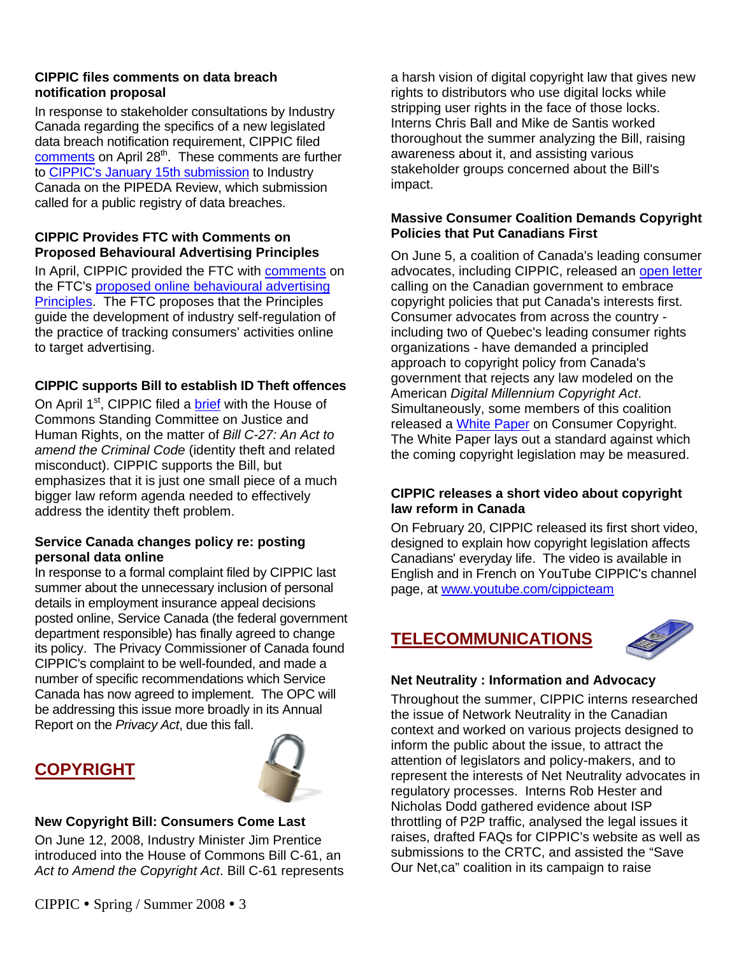### **CIPPIC files comments on data breach notification proposal**

In response to stakeholder consultations by Industry Canada regarding the specifics of a new legislated data breach notification requirement, CIPPIC filed comments on April 28<sup>th</sup>. These comments are further to **CIPPIC's January 15th submission** to Industry Canada on the PIPEDA Review, which submission called for a public registry of data breaches.

### **CIPPIC Provides FTC with Comments on Proposed Behavioural Advertising Principles**

In April, CIPPIC provided the FTC with comments on the FTC's proposed online behavioural advertising Principles. The FTC proposes that the Principles guide the development of industry self-regulation of the practice of tracking consumers' activities online to target advertising.

### **CIPPIC supports Bill to establish ID Theft offences**

On April 1<sup>st</sup>, CIPPIC filed a brief with the House of Commons Standing Committee on Justice and Human Rights, on the matter of *Bill C-27: An Act to amend the Criminal Code* (identity theft and related misconduct). CIPPIC supports the Bill, but emphasizes that it is just one small piece of a much bigger law reform agenda needed to effectively address the identity theft problem.

### **Service Canada changes policy re: posting personal data online**

In response to a formal complaint filed by CIPPIC last summer about the unnecessary inclusion of personal details in employment insurance appeal decisions posted online, Service Canada (the federal government department responsible) has finally agreed to change its policy. The Privacy Commissioner of Canada found CIPPIC's complaint to be well-founded, and made a number of specific recommendations which Service Canada has now agreed to implement. The OPC will be addressing this issue more broadly in its Annual Report on the *Privacy Act*, due this fall.

# **COPYRIGHT**



### **New Copyright Bill: Consumers Come Last**

On June 12, 2008, Industry Minister Jim Prentice introduced into the House of Commons Bill C-61, an *Act to Amend the Copyright Act*. Bill C-61 represents

a harsh vision of digital copyright law that gives new rights to distributors who use digital locks while stripping user rights in the face of those locks. Interns Chris Ball and Mike de Santis worked thoroughout the summer analyzing the Bill, raising awareness about it, and assisting various stakeholder groups concerned about the Bill's impact.

### **Massive Consumer Coalition Demands Copyright Policies that Put Canadians First**

On June 5, a coalition of Canada's leading consumer advocates, including CIPPIC, released an open letter calling on the Canadian government to embrace copyright policies that put Canada's interests first. Consumer advocates from across the country including two of Quebec's leading consumer rights organizations - have demanded a principled approach to copyright policy from Canada's government that rejects any law modeled on the American *Digital Millennium Copyright Act*. Simultaneously, some members of this coalition released a White Paper on Consumer Copyright. The White Paper lays out a standard against which the coming copyright legislation may be measured.

### **CIPPIC releases a short video about copyright law reform in Canada**

On February 20, CIPPIC released its first short video, designed to explain how copyright legislation affects Canadians' everyday life. The video is available in English and in French on YouTube CIPPIC's channel page, at www.youtube.com/cippicteam

### **TELECOMMUNICATIONS**



### **Net Neutrality : Information and Advocacy**

Throughout the summer, CIPPIC interns researched the issue of Network Neutrality in the Canadian context and worked on various projects designed to inform the public about the issue, to attract the attention of legislators and policy-makers, and to represent the interests of Net Neutrality advocates in regulatory processes. Interns Rob Hester and Nicholas Dodd gathered evidence about ISP throttling of P2P traffic, analysed the legal issues it raises, drafted FAQs for CIPPIC's website as well as submissions to the CRTC, and assisted the "Save Our Net,ca" coalition in its campaign to raise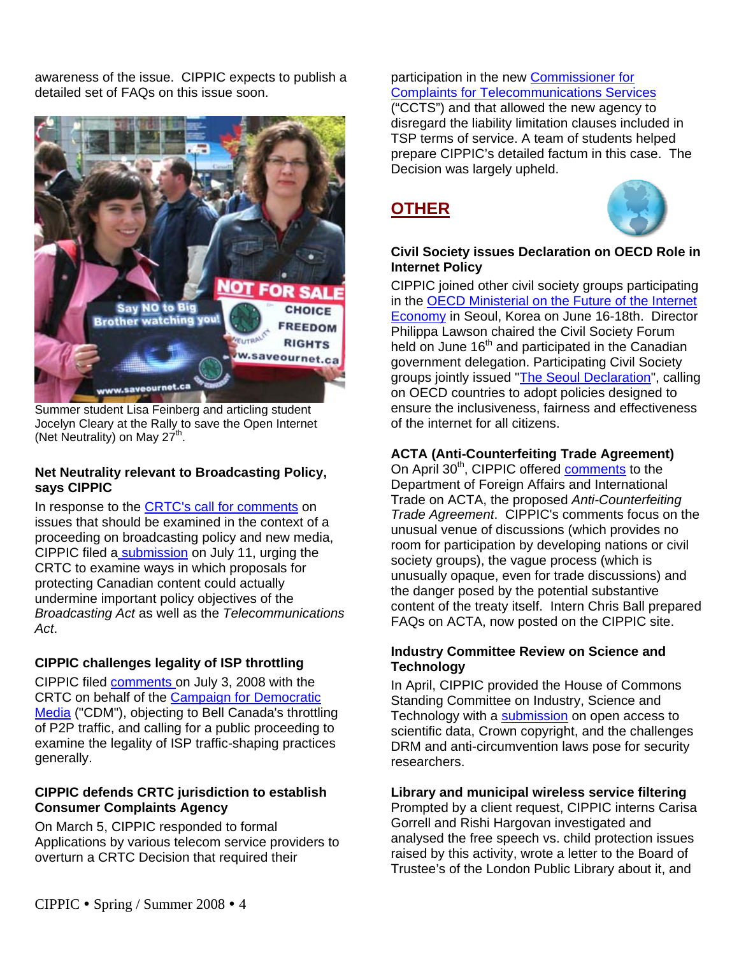awareness of the issue. CIPPIC expects to publish a detailed set of FAQs on this issue soon.



Summer student Lisa Feinberg and articling student Jocelyn Cleary at the Rally to save the Open Internet (Net Neutrality) on May  $27^{\text{th}}$ .

### **Net Neutrality relevant to Broadcasting Policy, says CIPPIC**

In response to the CRTC's call for comments on issues that should be examined in the context of a proceeding on broadcasting policy and new media, CIPPIC filed a submission on July 11, urging the CRTC to examine ways in which proposals for protecting Canadian content could actually undermine important policy objectives of the *Broadcasting Act* as well as the *Telecommunications Act*.

### **CIPPIC challenges legality of ISP throttling**

CIPPIC filed comments on July 3, 2008 with the CRTC on behalf of the Campaign for Democratic Media ("CDM"), objecting to Bell Canada's throttling of P2P traffic, and calling for a public proceeding to examine the legality of ISP traffic-shaping practices generally.

### **CIPPIC defends CRTC jurisdiction to establish Consumer Complaints Agency**

On March 5, CIPPIC responded to formal Applications by various telecom service providers to overturn a CRTC Decision that required their

### participation in the new Commissioner for Complaints for Telecommunications Services ("CCTS") and that allowed the new agency to disregard the liability limitation clauses included in TSP terms of service. A team of students helped

prepare CIPPIC's detailed factum in this case. The Decision was largely upheld.

# **OTHER**



### **Civil Society issues Declaration on OECD Role in Internet Policy**

CIPPIC joined other civil society groups participating in the OECD Ministerial on the Future of the Internet Economy in Seoul, Korea on June 16-18th. Director Philippa Lawson chaired the Civil Society Forum held on June 16<sup>th</sup> and participated in the Canadian government delegation. Participating Civil Society groups jointly issued "The Seoul Declaration", calling on OECD countries to adopt policies designed to ensure the inclusiveness, fairness and effectiveness of the internet for all citizens.

### **ACTA (Anti-Counterfeiting Trade Agreement)**

On April 30<sup>th</sup>, CIPPIC offered comments to the Department of Foreign Affairs and International Trade on ACTA, the proposed *Anti-Counterfeiting Trade Agreement*. CIPPIC's comments focus on the unusual venue of discussions (which provides no room for participation by developing nations or civil society groups), the vague process (which is unusually opaque, even for trade discussions) and the danger posed by the potential substantive content of the treaty itself. Intern Chris Ball prepared FAQs on ACTA, now posted on the CIPPIC site.

### **Industry Committee Review on Science and Technology**

In April, CIPPIC provided the House of Commons Standing Committee on Industry, Science and Technology with a submission on open access to scientific data, Crown copyright, and the challenges DRM and anti-circumvention laws pose for security researchers.

### **Library and municipal wireless service filtering**

Prompted by a client request, CIPPIC interns Carisa Gorrell and Rishi Hargovan investigated and analysed the free speech vs. child protection issues raised by this activity, wrote a letter to the Board of Trustee's of the London Public Library about it, and